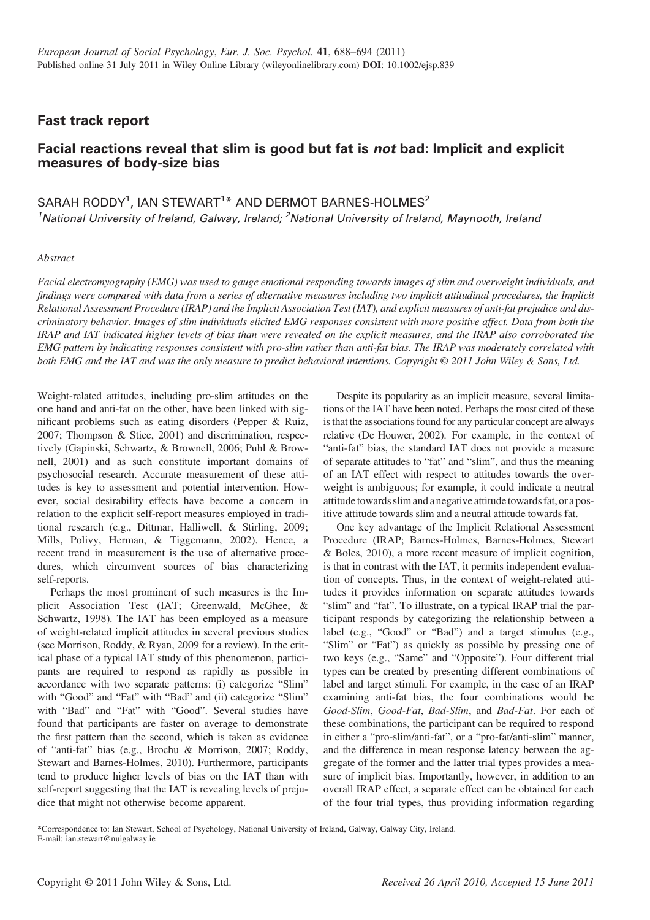# Fast track report

# Facial reactions reveal that slim is good but fat is not bad: Implicit and explicit measures of body-size bias

## SARAH RODDY $^1$ , IAN STEWART $^{1\ast}$  AND DERMOT BARNES-HOLMES $^2$ <sup>1</sup>National University of Ireland, Galway, Ireland: <sup>2</sup>National University of Ireland, Maynooth, Ireland

## Abstract

Facial electromyography (EMG) was used to gauge emotional responding towards images of slim and overweight individuals, and findings were compared with data from a series of alternative measures including two implicit attitudinal procedures, the Implicit Relational Assessment Procedure (IRAP) and the Implicit Association Test (IAT), and explicit measures of anti-fat prejudice and discriminatory behavior. Images of slim individuals elicited EMG responses consistent with more positive affect. Data from both the IRAP and IAT indicated higher levels of bias than were revealed on the explicit measures, and the IRAP also corroborated the EMG pattern by indicating responses consistent with pro-slim rather than anti-fat bias. The IRAP was moderately correlated with both EMG and the IAT and was the only measure to predict behavioral intentions. Copyright © 2011 John Wiley & Sons, Ltd.

Weight-related attitudes, including pro-slim attitudes on the one hand and anti-fat on the other, have been linked with significant problems such as eating disorders (Pepper & Ruiz, 2007; Thompson & Stice, 2001) and discrimination, respectively (Gapinski, Schwartz, & Brownell, 2006; Puhl & Brownell, 2001) and as such constitute important domains of psychosocial research. Accurate measurement of these attitudes is key to assessment and potential intervention. However, social desirability effects have become a concern in relation to the explicit self-report measures employed in traditional research (e.g., Dittmar, Halliwell, & Stirling, 2009; Mills, Polivy, Herman, & Tiggemann, 2002). Hence, a recent trend in measurement is the use of alternative procedures, which circumvent sources of bias characterizing self-reports.

Perhaps the most prominent of such measures is the Implicit Association Test (IAT; Greenwald, McGhee, & Schwartz, 1998). The IAT has been employed as a measure of weight-related implicit attitudes in several previous studies (see Morrison, Roddy, & Ryan, 2009 for a review). In the critical phase of a typical IAT study of this phenomenon, participants are required to respond as rapidly as possible in accordance with two separate patterns: (i) categorize "Slim" with "Good" and "Fat" with "Bad" and (ii) categorize "Slim" with "Bad" and "Fat" with "Good". Several studies have found that participants are faster on average to demonstrate the first pattern than the second, which is taken as evidence of "anti-fat" bias (e.g., Brochu & Morrison, 2007; Roddy, Stewart and Barnes-Holmes, 2010). Furthermore, participants tend to produce higher levels of bias on the IAT than with self-report suggesting that the IAT is revealing levels of prejudice that might not otherwise become apparent.

Despite its popularity as an implicit measure, several limitations of the IAT have been noted. Perhaps the most cited of these is that the associations found for any particular concept are always relative (De Houwer, 2002). For example, in the context of "anti-fat" bias, the standard IAT does not provide a measure of separate attitudes to "fat" and "slim", and thus the meaning of an IAT effect with respect to attitudes towards the overweight is ambiguous; for example, it could indicate a neutral attitude towards slim and a negative attitude towards fat, or a positive attitude towards slim and a neutral attitude towards fat.

One key advantage of the Implicit Relational Assessment Procedure (IRAP; Barnes-Holmes, Barnes-Holmes, Stewart & Boles, 2010), a more recent measure of implicit cognition, is that in contrast with the IAT, it permits independent evaluation of concepts. Thus, in the context of weight-related attitudes it provides information on separate attitudes towards "slim" and "fat". To illustrate, on a typical IRAP trial the participant responds by categorizing the relationship between a label (e.g., "Good" or "Bad") and a target stimulus (e.g., "Slim" or "Fat") as quickly as possible by pressing one of two keys (e.g., "Same" and "Opposite"). Four different trial types can be created by presenting different combinations of label and target stimuli. For example, in the case of an IRAP examining anti-fat bias, the four combinations would be Good-Slim, Good-Fat, Bad-Slim, and Bad-Fat. For each of these combinations, the participant can be required to respond in either a "pro-slim/anti-fat", or a "pro-fat/anti-slim" manner, and the difference in mean response latency between the aggregate of the former and the latter trial types provides a measure of implicit bias. Importantly, however, in addition to an overall IRAP effect, a separate effect can be obtained for each of the four trial types, thus providing information regarding

\*Correspondence to: Ian Stewart, School of Psychology, National University of Ireland, Galway, Galway City, Ireland. E-mail: ian.stewart@nuigalway.ie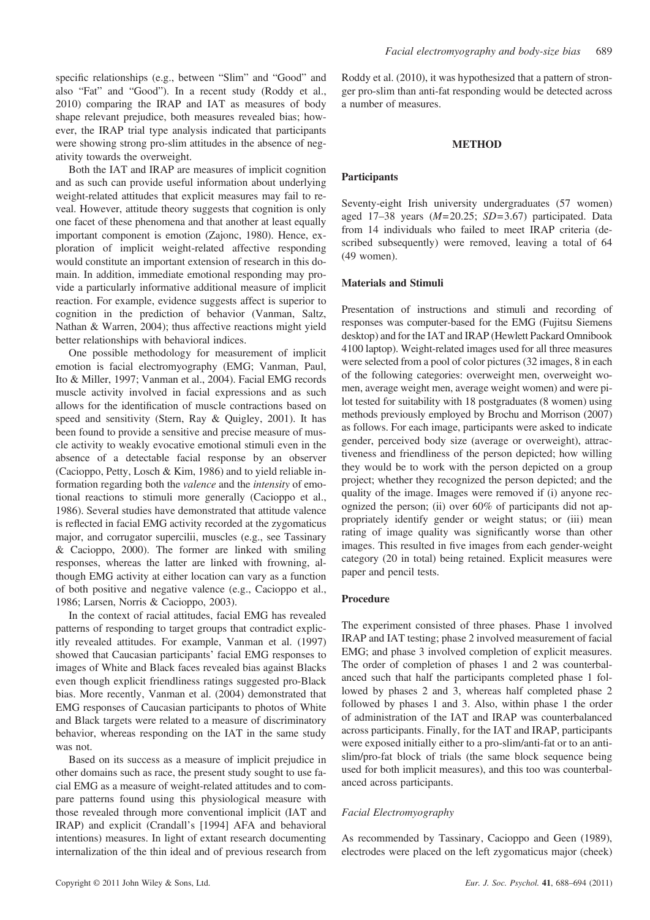specific relationships (e.g., between "Slim" and "Good" and also "Fat" and "Good"). In a recent study (Roddy et al., 2010) comparing the IRAP and IAT as measures of body shape relevant prejudice, both measures revealed bias; however, the IRAP trial type analysis indicated that participants were showing strong pro-slim attitudes in the absence of negativity towards the overweight.

Both the IAT and IRAP are measures of implicit cognition and as such can provide useful information about underlying weight-related attitudes that explicit measures may fail to reveal. However, attitude theory suggests that cognition is only one facet of these phenomena and that another at least equally important component is emotion (Zajonc, 1980). Hence, exploration of implicit weight-related affective responding would constitute an important extension of research in this domain. In addition, immediate emotional responding may provide a particularly informative additional measure of implicit reaction. For example, evidence suggests affect is superior to cognition in the prediction of behavior (Vanman, Saltz, Nathan & Warren, 2004); thus affective reactions might yield better relationships with behavioral indices.

One possible methodology for measurement of implicit emotion is facial electromyography (EMG; Vanman, Paul, Ito & Miller, 1997; Vanman et al., 2004). Facial EMG records muscle activity involved in facial expressions and as such allows for the identification of muscle contractions based on speed and sensitivity (Stern, Ray & Quigley, 2001). It has been found to provide a sensitive and precise measure of muscle activity to weakly evocative emotional stimuli even in the absence of a detectable facial response by an observer (Cacioppo, Petty, Losch & Kim, 1986) and to yield reliable information regarding both the valence and the intensity of emotional reactions to stimuli more generally (Cacioppo et al., 1986). Several studies have demonstrated that attitude valence is reflected in facial EMG activity recorded at the zygomaticus major, and corrugator supercilii, muscles (e.g., see Tassinary & Cacioppo, 2000). The former are linked with smiling responses, whereas the latter are linked with frowning, although EMG activity at either location can vary as a function of both positive and negative valence (e.g., Cacioppo et al., 1986; Larsen, Norris & Cacioppo, 2003).

In the context of racial attitudes, facial EMG has revealed patterns of responding to target groups that contradict explicitly revealed attitudes. For example, Vanman et al. (1997) showed that Caucasian participants' facial EMG responses to images of White and Black faces revealed bias against Blacks even though explicit friendliness ratings suggested pro-Black bias. More recently, Vanman et al. (2004) demonstrated that EMG responses of Caucasian participants to photos of White and Black targets were related to a measure of discriminatory behavior, whereas responding on the IAT in the same study was not.

Based on its success as a measure of implicit prejudice in other domains such as race, the present study sought to use facial EMG as a measure of weight-related attitudes and to compare patterns found using this physiological measure with those revealed through more conventional implicit (IAT and IRAP) and explicit (Crandall's [1994] AFA and behavioral intentions) measures. In light of extant research documenting internalization of the thin ideal and of previous research from

Roddy et al. (2010), it was hypothesized that a pattern of stronger pro-slim than anti-fat responding would be detected across a number of measures.

#### METHOD

#### **Participants**

Seventy-eight Irish university undergraduates (57 women) aged 17–38 years  $(M=20.25; SD=3.67)$  participated. Data from 14 individuals who failed to meet IRAP criteria (described subsequently) were removed, leaving a total of 64 (49 women).

## Materials and Stimuli

Presentation of instructions and stimuli and recording of responses was computer-based for the EMG (Fujitsu Siemens desktop) and for the IAT and IRAP (Hewlett Packard Omnibook 4100 laptop). Weight-related images used for all three measures were selected from a pool of color pictures (32 images, 8 in each of the following categories: overweight men, overweight women, average weight men, average weight women) and were pilot tested for suitability with 18 postgraduates (8 women) using methods previously employed by Brochu and Morrison (2007) as follows. For each image, participants were asked to indicate gender, perceived body size (average or overweight), attractiveness and friendliness of the person depicted; how willing they would be to work with the person depicted on a group project; whether they recognized the person depicted; and the quality of the image. Images were removed if (i) anyone recognized the person; (ii) over 60% of participants did not appropriately identify gender or weight status; or (iii) mean rating of image quality was significantly worse than other images. This resulted in five images from each gender-weight category (20 in total) being retained. Explicit measures were paper and pencil tests.

#### Procedure

The experiment consisted of three phases. Phase 1 involved IRAP and IAT testing; phase 2 involved measurement of facial EMG; and phase 3 involved completion of explicit measures. The order of completion of phases 1 and 2 was counterbalanced such that half the participants completed phase 1 followed by phases 2 and 3, whereas half completed phase 2 followed by phases 1 and 3. Also, within phase 1 the order of administration of the IAT and IRAP was counterbalanced across participants. Finally, for the IAT and IRAP, participants were exposed initially either to a pro-slim/anti-fat or to an antislim/pro-fat block of trials (the same block sequence being used for both implicit measures), and this too was counterbalanced across participants.

## Facial Electromyography

As recommended by Tassinary, Cacioppo and Geen (1989), electrodes were placed on the left zygomaticus major (cheek)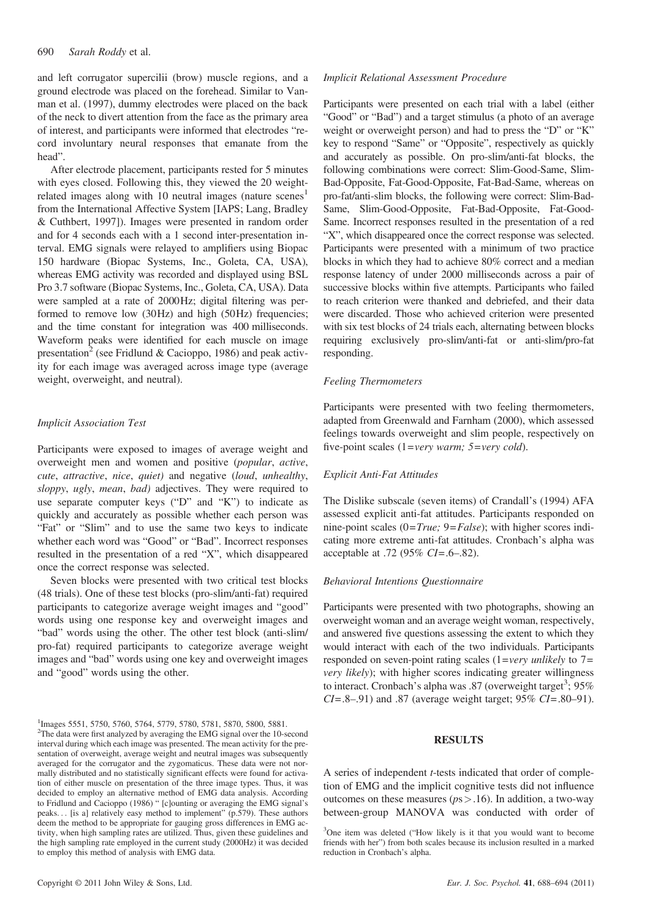and left corrugator supercilii (brow) muscle regions, and a ground electrode was placed on the forehead. Similar to Vanman et al. (1997), dummy electrodes were placed on the back of the neck to divert attention from the face as the primary area of interest, and participants were informed that electrodes "record involuntary neural responses that emanate from the head".

After electrode placement, participants rested for 5 minutes with eyes closed. Following this, they viewed the 20 weightrelated images along with 10 neutral images (nature scenes<sup>1</sup>) from the International Affective System [IAPS; Lang, Bradley & Cuthbert, 1997]). Images were presented in random order and for 4 seconds each with a 1 second inter-presentation interval. EMG signals were relayed to amplifiers using Biopac 150 hardware (Biopac Systems, Inc., Goleta, CA, USA), whereas EMG activity was recorded and displayed using BSL Pro 3.7 software (Biopac Systems, Inc., Goleta, CA, USA). Data were sampled at a rate of 2000Hz; digital filtering was performed to remove low (30Hz) and high (50Hz) frequencies; and the time constant for integration was 400 milliseconds. Waveform peaks were identified for each muscle on image presentation<sup>2</sup> (see Fridlund & Cacioppo, 1986) and peak activity for each image was averaged across image type (average weight, overweight, and neutral).

## Implicit Association Test

Participants were exposed to images of average weight and overweight men and women and positive (popular, active, cute, attractive, nice, quiet) and negative (loud, unhealthy, sloppy, ugly, mean, bad) adjectives. They were required to use separate computer keys ("D" and "K") to indicate as quickly and accurately as possible whether each person was "Fat" or "Slim" and to use the same two keys to indicate whether each word was "Good" or "Bad". Incorrect responses resulted in the presentation of a red "X", which disappeared once the correct response was selected.

Seven blocks were presented with two critical test blocks (48 trials). One of these test blocks (pro-slim/anti-fat) required participants to categorize average weight images and "good" words using one response key and overweight images and "bad" words using the other. The other test block (anti-slim/ pro-fat) required participants to categorize average weight images and "bad" words using one key and overweight images and "good" words using the other.

1 Images 5551, 5750, 5760, 5764, 5779, 5780, 5781, 5870, 5800, 5881.

<sup>2</sup>The data were first analyzed by averaging the EMG signal over the 10-second interval during which each image was presented. The mean activity for the presentation of overweight, average weight and neutral images was subsequently averaged for the corrugator and the zygomaticus. These data were not normally distributed and no statistically significant effects were found for activation of either muscle on presentation of the three image types. Thus, it was decided to employ an alternative method of EMG data analysis. According to Fridlund and Cacioppo (1986) " [c]ounting or averaging the EMG signal's peaks... [is a] relatively easy method to implement" (p.579). These authors deem the method to be appropriate for gauging gross differences in EMG activity, when high sampling rates are utilized. Thus, given these guidelines and the high sampling rate employed in the current study (2000Hz) it was decided to employ this method of analysis with EMG data.

Participants were presented on each trial with a label (either "Good" or "Bad") and a target stimulus (a photo of an average weight or overweight person) and had to press the "D" or "K" key to respond "Same" or "Opposite", respectively as quickly and accurately as possible. On pro-slim/anti-fat blocks, the following combinations were correct: Slim-Good-Same, Slim-Bad-Opposite, Fat-Good-Opposite, Fat-Bad-Same, whereas on pro-fat/anti-slim blocks, the following were correct: Slim-Bad-Same, Slim-Good-Opposite, Fat-Bad-Opposite, Fat-Good-Same. Incorrect responses resulted in the presentation of a red "X", which disappeared once the correct response was selected. Participants were presented with a minimum of two practice blocks in which they had to achieve 80% correct and a median response latency of under 2000 milliseconds across a pair of successive blocks within five attempts. Participants who failed to reach criterion were thanked and debriefed, and their data were discarded. Those who achieved criterion were presented with six test blocks of 24 trials each, alternating between blocks requiring exclusively pro-slim/anti-fat or anti-slim/pro-fat responding.

#### Feeling Thermometers

Participants were presented with two feeling thermometers, adapted from Greenwald and Farnham (2000), which assessed feelings towards overweight and slim people, respectively on five-point scales  $(1=very warm; 5=very cold).$ 

#### Explicit Anti-Fat Attitudes

The Dislike subscale (seven items) of Crandall's (1994) AFA assessed explicit anti-fat attitudes. Participants responded on nine-point scales  $(0=True; 9=False)$ ; with higher scores indicating more extreme anti-fat attitudes. Cronbach's alpha was acceptable at .72 (95% CI=.6–.82).

#### Behavioral Intentions Questionnaire

Participants were presented with two photographs, showing an overweight woman and an average weight woman, respectively, and answered five questions assessing the extent to which they would interact with each of the two individuals. Participants responded on seven-point rating scales  $(1=very \ unlikely to 7=$ very likely); with higher scores indicating greater willingness to interact. Cronbach's alpha was .87 (overweight target<sup>3</sup>; 95%  $CI = .8 - .91$ ) and  $.87$  (average weight target; 95%  $CI = .80 - .91$ ).

## **RESULTS**

A series of independent t-tests indicated that order of completion of EMG and the implicit cognitive tests did not influence outcomes on these measures ( $ps$  > .16). In addition, a two-way between-group MANOVA was conducted with order of

<sup>&</sup>lt;sup>3</sup>One item was deleted ("How likely is it that you would want to become friends with her") from both scales because its inclusion resulted in a marked reduction in Cronbach's alpha.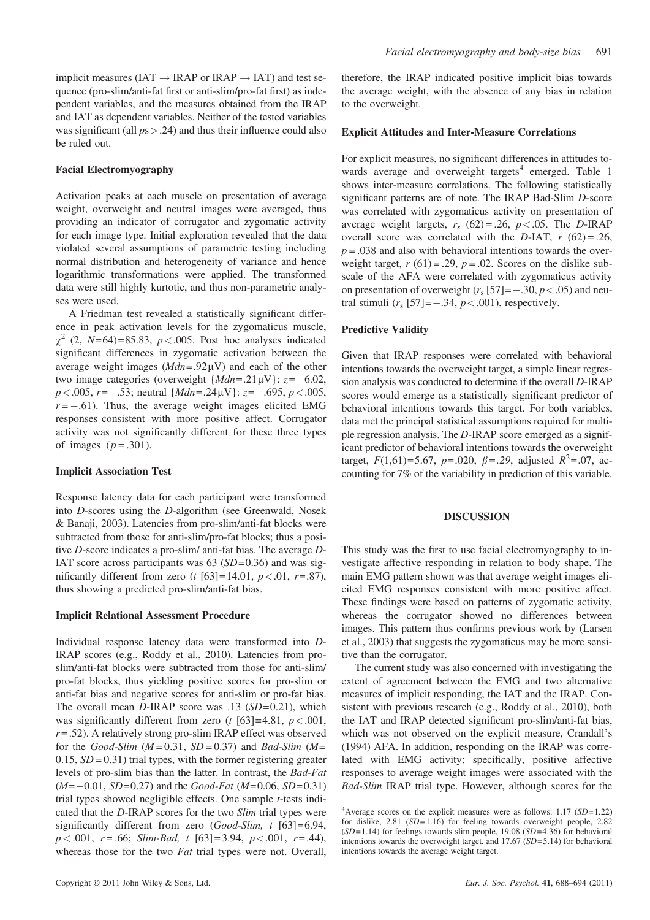implicit measures (IAT  $\rightarrow$  IRAP or IRAP  $\rightarrow$  IAT) and test sequence (pro-slim/anti-fat first or anti-slim/pro-fat first) as independent variables, and the measures obtained from the IRAP and IAT as dependent variables. Neither of the tested variables was significant (all  $ps > .24$ ) and thus their influence could also be ruled out.

## Facial Electromyography

Activation peaks at each muscle on presentation of average weight, overweight and neutral images were averaged, thus providing an indicator of corrugator and zygomatic activity for each image type. Initial exploration revealed that the data violated several assumptions of parametric testing including normal distribution and heterogeneity of variance and hence logarithmic transformations were applied. The transformed data were still highly kurtotic, and thus non-parametric analyses were used.

A Friedman test revealed a statistically significant difference in peak activation levels for the zygomaticus muscle,  $\chi^2$  (2, N=64)=85.83, p < 0.005. Post hoc analyses indicated significant differences in zygomatic activation between the average weight images  $(Mdn=0.92\mu\text{V})$  and each of the other two image categories (overweight  $\{Mdn = .21\,\mu\text{V}\}$ :  $z = -6.02$ ,  $p < .005$ ,  $r = -.53$ ; neutral  $\{Mdn = .24\,\mu\text{V}\}\colon z = -.695, p < .005$ ,  $r = -.61$ ). Thus, the average weight images elicited EMG responses consistent with more positive affect. Corrugator activity was not significantly different for these three types of images ( $p = .301$ ).

#### Implicit Association Test

Response latency data for each participant were transformed into D-scores using the D-algorithm (see Greenwald, Nosek & Banaji, 2003). Latencies from pro-slim/anti-fat blocks were subtracted from those for anti-slim/pro-fat blocks; thus a positive D-score indicates a pro-slim/ anti-fat bias. The average D-IAT score across participants was  $63$  ( $SD=0.36$ ) and was significantly different from zero (t [63]=14.01,  $p < .01$ ,  $r = .87$ ), thus showing a predicted pro-slim/anti-fat bias.

#### Implicit Relational Assessment Procedure

Individual response latency data were transformed into D-IRAP scores (e.g., Roddy et al., 2010). Latencies from proslim/anti-fat blocks were subtracted from those for anti-slim/ pro-fat blocks, thus yielding positive scores for pro-slim or anti-fat bias and negative scores for anti-slim or pro-fat bias. The overall mean  $D$ -IRAP score was .13 (SD=0.21), which was significantly different from zero (t [63]=4.81,  $p < .001$ ,  $r = .52$ ). A relatively strong pro-slim IRAP effect was observed for the Good-Slim  $(M = 0.31, SD = 0.37)$  and Bad-Slim  $(M =$  $0.15$ ,  $SD = 0.31$ ) trial types, with the former registering greater levels of pro-slim bias than the latter. In contrast, the Bad-Fat  $(M=-0.01, SD=0.27)$  and the *Good-Fat*  $(M=0.06, SD=0.31)$ trial types showed negligible effects. One sample t-tests indicated that the D-IRAP scores for the two Slim trial types were significantly different from zero (Good-Slim, t [63]=6.94,  $p < .001$ ,  $r = .66$ ; Slim-Bad, t [63] = 3.94,  $p < .001$ ,  $r = .44$ ), whereas those for the two *Fat* trial types were not. Overall, therefore, the IRAP indicated positive implicit bias towards the average weight, with the absence of any bias in relation to the overweight.

## Explicit Attitudes and Inter-Measure Correlations

For explicit measures, no significant differences in attitudes towards average and overweight targets<sup>4</sup> emerged. Table 1 shows inter-measure correlations. The following statistically significant patterns are of note. The IRAP Bad-Slim D-score was correlated with zygomaticus activity on presentation of average weight targets,  $r_s$  (62) = .26, p < .05. The D-IRAP overall score was correlated with the D-IAT,  $r(62) = .26$ ,  $p = 0.038$  and also with behavioral intentions towards the overweight target,  $r(61) = .29$ ,  $p = .02$ . Scores on the dislike subscale of the AFA were correlated with zygomaticus activity on presentation of overweight  $(r_s [57] = -.30, p < .05)$  and neutral stimuli  $(r_s [57] = -.34, p < .001)$ , respectively.

#### Predictive Validity

Given that IRAP responses were correlated with behavioral intentions towards the overweight target, a simple linear regression analysis was conducted to determine if the overall D-IRAP scores would emerge as a statistically significant predictor of behavioral intentions towards this target. For both variables, data met the principal statistical assumptions required for multiple regression analysis. The D-IRAP score emerged as a significant predictor of behavioral intentions towards the overweight target,  $F(1,61)=5.67$ ,  $p=.020$ ,  $\beta=.29$ , adjusted  $R^2=.07$ , accounting for 7% of the variability in prediction of this variable.

## DISCUSSION

This study was the first to use facial electromyography to investigate affective responding in relation to body shape. The main EMG pattern shown was that average weight images elicited EMG responses consistent with more positive affect. These findings were based on patterns of zygomatic activity, whereas the corrugator showed no differences between images. This pattern thus confirms previous work by (Larsen et al., 2003) that suggests the zygomaticus may be more sensitive than the corrugator.

The current study was also concerned with investigating the extent of agreement between the EMG and two alternative measures of implicit responding, the IAT and the IRAP. Consistent with previous research (e.g., Roddy et al., 2010), both the IAT and IRAP detected significant pro-slim/anti-fat bias, which was not observed on the explicit measure, Crandall's (1994) AFA. In addition, responding on the IRAP was correlated with EMG activity; specifically, positive affective responses to average weight images were associated with the Bad-Slim IRAP trial type. However, although scores for the

<sup>&</sup>lt;sup>4</sup> Average scores on the explicit measures were as follows: 1.17 (SD=1.22) for dislike,  $2.81$  ( $SD=1.16$ ) for feeling towards overweight people,  $2.82$  $(SD=1.14)$  for feelings towards slim people, 19.08  $(SD=4.36)$  for behavioral intentions towards the overweight target, and 17.67 (SD=5.14) for behavioral intentions towards the average weight target.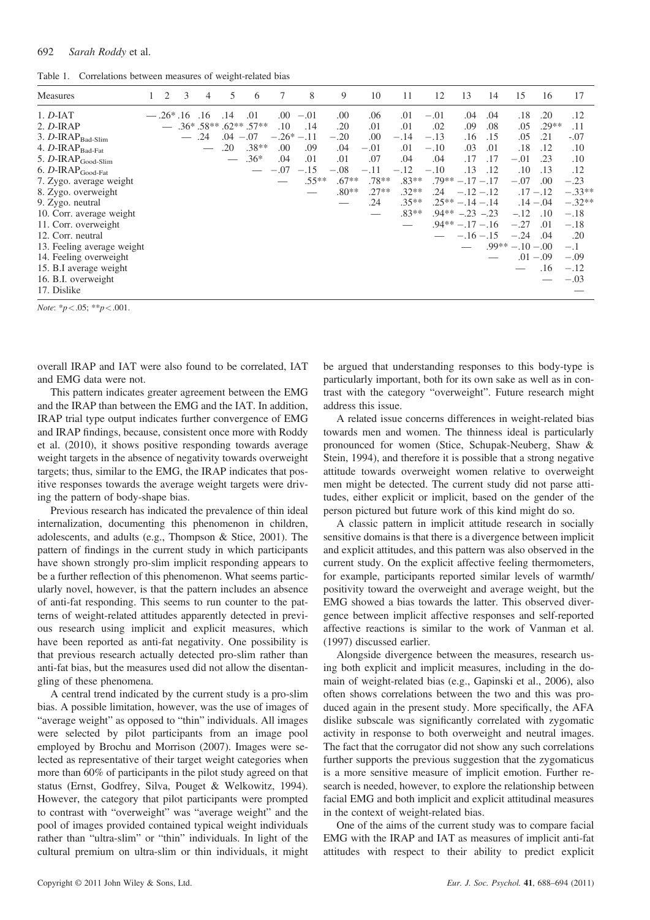Table 1. Correlations between measures of weight-related bias

| <b>Measures</b>                 | 2 | 3                | 4   | 5.  | 6                          | 7          | 8       | 9       | 10      | 11      | 12     | 13                  | 14  | 15              | 16          | 17       |
|---------------------------------|---|------------------|-----|-----|----------------------------|------------|---------|---------|---------|---------|--------|---------------------|-----|-----------------|-------------|----------|
| $1. D-IAT$                      |   | $-.26^*$ .16 .16 |     | .14 | .01                        | .00.       | $-.01$  | .00     | .06     | .01     | $-.01$ | .04                 | .04 | .18             | .20         | .12      |
| $2. D-IRAP$                     |   |                  |     |     | $-$ .36* .58** .62** .57** | .10        | .14     | .20     | .01     | .01     | .02    | .09                 | .08 | .05             | $.29**$     | .11      |
| 3. $D$ -IRA $P_{Bad-Slim}$      |   |                  | .24 | .04 | $-.07$                     | $-.26*-11$ |         | $-.20$  | .00     | $-.14$  | $-.13$ | .16                 | .15 | .05             | .21         | $-.07$   |
| 4. D-IRAP <sub>Bad-Fat</sub>    |   |                  |     | .20 | $.38**$                    | .00        | .09     | .04     | $-.01$  | .01     | $-.10$ | .03                 | .01 | .18             | .12         | .10      |
| 5. D-IRAP <sub>Good-Slim</sub>  |   |                  |     |     | $.36*$                     | .04        | .01     | .01     | .07     | .04     | .04    | .17                 | .17 | $-.01$          | .23         | .10      |
| 6. D-IRA $P_{Good\text{-}Flat}$ |   |                  |     |     |                            | $-.07$     | $-.15$  | $-.08$  | $-.11$  | $-.12$  | $-.10$ | .13                 | .12 | .10             | .13         | .12      |
| 7. Zygo. average weight         |   |                  |     |     |                            |            | $.55**$ | $.67**$ | $.78**$ | $.83**$ |        | $.79** - .17-.17$   |     | $-.07$          | .00         | $-.23$   |
| 8. Zygo. overweight             |   |                  |     |     |                            |            |         | $.80**$ | $.27**$ | $.32**$ | .24    | $-.12-.12$          |     |                 | $.17 - .12$ | $-.33**$ |
| 9. Zygo. neutral                |   |                  |     |     |                            |            |         |         | .24     | $.35**$ |        | $.25**-.14-.14$     |     |                 | $.14 - .04$ | $-.32**$ |
| 10. Corr. average weight        |   |                  |     |     |                            |            |         |         |         | $.83**$ |        | $.94** - .23 - .23$ |     | $-.12$          | .10         | $-.18$   |
| 11. Corr. overweight            |   |                  |     |     |                            |            |         |         |         |         |        | $.94**-.17-.16$     |     | $-.27$          | .01         | $-.18$   |
| 12. Corr. neutral               |   |                  |     |     |                            |            |         |         |         |         |        | $-.16-.15$          |     | $-.24$          | .04         | .20      |
| 13. Feeling average weight      |   |                  |     |     |                            |            |         |         |         |         |        |                     |     | $.99**-.10-.00$ |             | $-.1$    |
| 14. Feeling overweight          |   |                  |     |     |                            |            |         |         |         |         |        |                     |     |                 | $.01 - .09$ | $-.09$   |
| 15. B.I average weight          |   |                  |     |     |                            |            |         |         |         |         |        |                     |     |                 | .16         | $-.12$   |
| 16. B.I. overweight             |   |                  |     |     |                            |            |         |         |         |         |        |                     |     |                 |             | $-.03$   |
| 17. Dislike                     |   |                  |     |     |                            |            |         |         |         |         |        |                     |     |                 |             |          |

Note:  $*_{p} < .05$ :  $*_{p} < .001$ .

overall IRAP and IAT were also found to be correlated, IAT and EMG data were not.

This pattern indicates greater agreement between the EMG and the IRAP than between the EMG and the IAT. In addition, IRAP trial type output indicates further convergence of EMG and IRAP findings, because, consistent once more with Roddy et al. (2010), it shows positive responding towards average weight targets in the absence of negativity towards overweight targets; thus, similar to the EMG, the IRAP indicates that positive responses towards the average weight targets were driving the pattern of body-shape bias.

Previous research has indicated the prevalence of thin ideal internalization, documenting this phenomenon in children, adolescents, and adults (e.g., Thompson & Stice, 2001). The pattern of findings in the current study in which participants have shown strongly pro-slim implicit responding appears to be a further reflection of this phenomenon. What seems particularly novel, however, is that the pattern includes an absence of anti-fat responding. This seems to run counter to the patterns of weight-related attitudes apparently detected in previous research using implicit and explicit measures, which have been reported as anti-fat negativity. One possibility is that previous research actually detected pro-slim rather than anti-fat bias, but the measures used did not allow the disentangling of these phenomena.

A central trend indicated by the current study is a pro-slim bias. A possible limitation, however, was the use of images of "average weight" as opposed to "thin" individuals. All images were selected by pilot participants from an image pool employed by Brochu and Morrison (2007). Images were selected as representative of their target weight categories when more than 60% of participants in the pilot study agreed on that status (Ernst, Godfrey, Silva, Pouget & Welkowitz, 1994). However, the category that pilot participants were prompted to contrast with "overweight" was "average weight" and the pool of images provided contained typical weight individuals rather than "ultra-slim" or "thin" individuals. In light of the cultural premium on ultra-slim or thin individuals, it might

be argued that understanding responses to this body-type is particularly important, both for its own sake as well as in contrast with the category "overweight". Future research might address this issue.

A related issue concerns differences in weight-related bias towards men and women. The thinness ideal is particularly pronounced for women (Stice, Schupak-Neuberg, Shaw & Stein, 1994), and therefore it is possible that a strong negative attitude towards overweight women relative to overweight men might be detected. The current study did not parse attitudes, either explicit or implicit, based on the gender of the person pictured but future work of this kind might do so.

A classic pattern in implicit attitude research in socially sensitive domains is that there is a divergence between implicit and explicit attitudes, and this pattern was also observed in the current study. On the explicit affective feeling thermometers, for example, participants reported similar levels of warmth/ positivity toward the overweight and average weight, but the EMG showed a bias towards the latter. This observed divergence between implicit affective responses and self-reported affective reactions is similar to the work of Vanman et al. (1997) discussed earlier.

Alongside divergence between the measures, research using both explicit and implicit measures, including in the domain of weight-related bias (e.g., Gapinski et al., 2006), also often shows correlations between the two and this was produced again in the present study. More specifically, the AFA dislike subscale was significantly correlated with zygomatic activity in response to both overweight and neutral images. The fact that the corrugator did not show any such correlations further supports the previous suggestion that the zygomaticus is a more sensitive measure of implicit emotion. Further research is needed, however, to explore the relationship between facial EMG and both implicit and explicit attitudinal measures in the context of weight-related bias.

One of the aims of the current study was to compare facial EMG with the IRAP and IAT as measures of implicit anti-fat attitudes with respect to their ability to predict explicit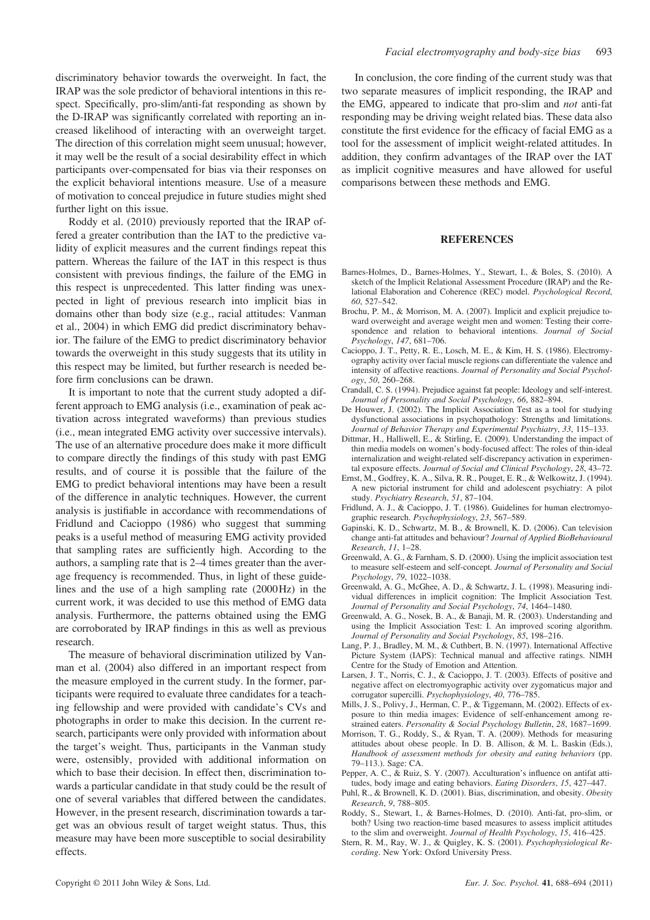discriminatory behavior towards the overweight. In fact, the IRAP was the sole predictor of behavioral intentions in this respect. Specifically, pro-slim/anti-fat responding as shown by the D-IRAP was significantly correlated with reporting an increased likelihood of interacting with an overweight target. The direction of this correlation might seem unusual; however, it may well be the result of a social desirability effect in which participants over-compensated for bias via their responses on the explicit behavioral intentions measure. Use of a measure of motivation to conceal prejudice in future studies might shed further light on this issue.

Roddy et al. (2010) previously reported that the IRAP offered a greater contribution than the IAT to the predictive validity of explicit measures and the current findings repeat this pattern. Whereas the failure of the IAT in this respect is thus consistent with previous findings, the failure of the EMG in this respect is unprecedented. This latter finding was unexpected in light of previous research into implicit bias in domains other than body size (e.g., racial attitudes: Vanman et al., 2004) in which EMG did predict discriminatory behavior. The failure of the EMG to predict discriminatory behavior towards the overweight in this study suggests that its utility in this respect may be limited, but further research is needed before firm conclusions can be drawn.

It is important to note that the current study adopted a different approach to EMG analysis (i.e., examination of peak activation across integrated waveforms) than previous studies (i.e., mean integrated EMG activity over successive intervals). The use of an alternative procedure does make it more difficult to compare directly the findings of this study with past EMG results, and of course it is possible that the failure of the EMG to predict behavioral intentions may have been a result of the difference in analytic techniques. However, the current analysis is justifiable in accordance with recommendations of Fridlund and Cacioppo (1986) who suggest that summing peaks is a useful method of measuring EMG activity provided that sampling rates are sufficiently high. According to the authors, a sampling rate that is 2–4 times greater than the average frequency is recommended. Thus, in light of these guidelines and the use of a high sampling rate (2000Hz) in the current work, it was decided to use this method of EMG data analysis. Furthermore, the patterns obtained using the EMG are corroborated by IRAP findings in this as well as previous research.

The measure of behavioral discrimination utilized by Vanman et al. (2004) also differed in an important respect from the measure employed in the current study. In the former, participants were required to evaluate three candidates for a teaching fellowship and were provided with candidate's CVs and photographs in order to make this decision. In the current research, participants were only provided with information about the target's weight. Thus, participants in the Vanman study were, ostensibly, provided with additional information on which to base their decision. In effect then, discrimination towards a particular candidate in that study could be the result of one of several variables that differed between the candidates. However, in the present research, discrimination towards a target was an obvious result of target weight status. Thus, this measure may have been more susceptible to social desirability effects.

In conclusion, the core finding of the current study was that two separate measures of implicit responding, the IRAP and the EMG, appeared to indicate that pro-slim and not anti-fat responding may be driving weight related bias. These data also constitute the first evidence for the efficacy of facial EMG as a tool for the assessment of implicit weight-related attitudes. In addition, they confirm advantages of the IRAP over the IAT as implicit cognitive measures and have allowed for useful comparisons between these methods and EMG.

## **REFERENCES**

- Barnes-Holmes, D., Barnes-Holmes, Y., Stewart, I., & Boles, S. (2010). A sketch of the Implicit Relational Assessment Procedure (IRAP) and the Relational Elaboration and Coherence (REC) model. Psychological Record, 60, 527–542.
- Brochu, P. M., & Morrison, M. A. (2007). Implicit and explicit prejudice toward overweight and average weight men and women: Testing their correspondence and relation to behavioral intentions. Journal of Social Psychology, 147, 681–706.
- Cacioppo, J. T., Petty, R. E., Losch, M. E., & Kim, H. S. (1986). Electromyography activity over facial muscle regions can differentiate the valence and intensity of affective reactions. Journal of Personality and Social Psychology, 50, 260–268.
- Crandall, C. S. (1994). Prejudice against fat people: Ideology and self-interest. Journal of Personality and Social Psychology, 66, 882–894.
- De Houwer, J. (2002). The Implicit Association Test as a tool for studying dysfunctional associations in psychopathology: Strengths and limitations. Journal of Behavior Therapy and Experimental Psychiatry, 33, 115–133.
- Dittmar, H., Halliwell, E., & Stirling, E. (2009). Understanding the impact of thin media models on women's body-focused affect: The roles of thin-ideal internalization and weight-related self-discrepancy activation in experimental exposure effects. Journal of Social and Clinical Psychology, 28, 43–72.
- Ernst, M., Godfrey, K. A., Silva, R. R., Pouget, E. R., & Welkowitz, J. (1994). A new pictorial instrument for child and adolescent psychiatry: A pilot study. Psychiatry Research, 51, 87–104.
- Fridlund, A. J., & Cacioppo, J. T. (1986). Guidelines for human electromyographic research. Psychophysiology, 23, 567–589.
- Gapinski, K. D., Schwartz, M. B., & Brownell, K. D. (2006). Can television change anti-fat attitudes and behaviour? Journal of Applied BioBehavioural Research, 11, 1–28.
- Greenwald, A. G., & Farnham, S. D. (2000). Using the implicit association test to measure self-esteem and self-concept. Journal of Personality and Social Psychology, 79, 1022–1038.
- Greenwald, A. G., McGhee, A. D., & Schwartz, J. L. (1998). Measuring individual differences in implicit cognition: The Implicit Association Test. Journal of Personality and Social Psychology, 74, 1464–1480.
- Greenwald, A. G., Nosek, B. A., & Banaji, M. R. (2003). Understanding and using the Implicit Association Test: I. An improved scoring algorithm. Journal of Personality and Social Psychology, 85, 198–216.
- Lang, P. J., Bradley, M. M., & Cuthbert, B. N. (1997). International Affective Picture System (IAPS): Technical manual and affective ratings. NIMH Centre for the Study of Emotion and Attention.
- Larsen, J. T., Norris, C. J., & Cacioppo, J. T. (2003). Effects of positive and negative affect on electromyographic activity over zygomaticus major and corrugator supercilli. Psychophysiology, 40, 776–785.
- Mills, J. S., Polivy, J., Herman, C. P., & Tiggemann, M. (2002). Effects of exposure to thin media images: Evidence of self-enhancement among restrained eaters. Personality & Social Psychology Bulletin, 28, 1687–1699.
- Morrison, T. G., Roddy, S., & Ryan, T. A. (2009). Methods for measuring attitudes about obese people. In D. B. Allison, & M. L. Baskin (Eds.), Handbook of assessment methods for obesity and eating behaviors (pp. 79–113.). Sage: CA.
- Pepper, A. C., & Ruiz, S. Y. (2007). Acculturation's influence on antifat attitudes, body image and eating behaviors. Eating Disorders, 15, 427–447.
- Puhl, R., & Brownell, K. D. (2001). Bias, discrimination, and obesity. Obesity Research, 9, 788–805.
- Roddy, S., Stewart, I., & Barnes-Holmes, D. (2010). Anti-fat, pro-slim, or both? Using two reaction-time based measures to assess implicit attitudes to the slim and overweight. Journal of Health Psychology, 15, 416–425.
- Stern, R. M., Ray, W. J., & Quigley, K. S. (2001). Psychophysiological Recording. New York: Oxford University Press.